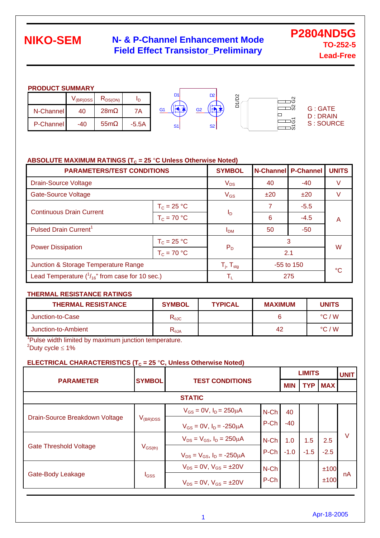### **N- & P-Channel Enhancement Mode Field Effect Transistor\_Preliminary**

**P2804ND5G TO-252-5 Lead-Free** 

#### **PRODUCT SUMMARY**

|           | V(BR)DSS | רז<br>$R_{DS(ON)}$ | סי      | D <sub>1</sub> | D <sub>2</sub> | $\sim$<br>$\sim$<br>חז⊏<br>$\overline{\phantom{0}}$ |                                   |
|-----------|----------|--------------------|---------|----------------|----------------|-----------------------------------------------------|-----------------------------------|
| N-Channel | 40       | 28m                | 7Α      | G1             | G2             | ≏<br>စိ                                             | <b>G: GATE</b><br><b>D: DRAIN</b> |
| P-Channel | -40      | 55 <sub>m</sub>    | $-5.5A$ | S <sub>1</sub> | <b>S2</b>      | $\sqrt{2}$<br>ω                                     | S: SOURCE                         |

#### ABSOLUTE MAXIMUM RATINGS (T<sub>C</sub> = 25 °C Unless Otherwise Noted)

| <b>PARAMETERS/TEST CONDITIONS</b>                      | <b>SYMBOL</b>            |                         | <b>N-Channel P-Channel</b> | <b>UNITS</b> |   |  |
|--------------------------------------------------------|--------------------------|-------------------------|----------------------------|--------------|---|--|
| <b>Drain-Source Voltage</b>                            | $V_{DS}$                 | 40                      | -40                        | V            |   |  |
| <b>Gate-Source Voltage</b>                             |                          | $V_{GS}$                | ±20                        | ±20          | V |  |
| <b>Continuous Drain Current</b>                        | $T_c = 25 °C$            |                         |                            | $-5.5$       | A |  |
|                                                        | $T_c = 70 °C$            | Ιp                      | 6                          | $-4.5$       |   |  |
| Pulsed Drain Current <sup>1</sup>                      |                          | I <sub>DM</sub>         | 50                         | $-50$        |   |  |
|                                                        | $T_c = 25 °C$            |                         | 3                          | W            |   |  |
| <b>Power Dissipation</b>                               | $T_c = 70 °C$            | $P_D$                   |                            | 2.1          |   |  |
| Junction & Storage Temperature Range                   | $T_i$ , $T_{\text{stg}}$ | $-55$ to 150            |                            | °C           |   |  |
| Lead Temperature $(^{1}_{16}$ " from case for 10 sec.) |                          | $\mathsf{T}_\mathsf{L}$ |                            | 275          |   |  |

#### **THERMAL RESISTANCE RATINGS**

| <b>THERMAL RESISTANCE</b> | <b>SYMBOL</b>                    | <b>TYPICAL</b> | <b>MAXIMUM</b> | <b>UNITS</b>    |
|---------------------------|----------------------------------|----------------|----------------|-----------------|
| Junction-to-Case          | $R_{\theta$ JC                   |                |                | $\degree$ C / W |
| Junction-to-Ambient       | $\mathsf{R}_{\theta\mathsf{JA}}$ |                | 42             | $\degree$ C / W |

<sup>1</sup>Pulse width limited by maximum junction temperature.  $2^2$ Duty cycle  $\leq 1\%$ 

#### **ELECTRICAL CHARACTERISTICS (T<sub>c</sub> = 25 °C, Unless Otherwise Noted)**

|                                |                                         |                                        |            |            | <b>LIMITS</b> |        |    |  |
|--------------------------------|-----------------------------------------|----------------------------------------|------------|------------|---------------|--------|----|--|
| <b>PARAMETER</b>               | <b>SYMBOL</b>                           | <b>TEST CONDITIONS</b>                 | <b>MIN</b> | <b>TYP</b> | <b>MAX</b>    |        |    |  |
| <b>STATIC</b>                  |                                         |                                        |            |            |               |        |    |  |
|                                |                                         | $V_{GS} = 0V$ , $I_D = 250 \mu A$      | N-Ch       | 40         |               |        |    |  |
| Drain-Source Breakdown Voltage | $V_{\rm (BR)DSS}$                       | $V_{GS} = 0V$ , $I_D = -250 \mu A$     | P-Ch       | $-40$      |               |        |    |  |
|                                |                                         | $V_{DS} = V_{GS}$ , $I_D = 250 \mu A$  | $N$ -Ch    | 1.0        | 1.5           | 2.5    | v  |  |
| <b>Gate Threshold Voltage</b>  | $\mathsf{V}_{\mathsf{GS}(\mathsf{th})}$ | $V_{DS} = V_{GS}$ , $I_D = -250 \mu A$ | P-Ch       | $-1.0$     | $-1.5$        | $-2.5$ |    |  |
|                                |                                         | $V_{DS} = 0V$ , $V_{GS} = \pm 20V$     | N-Ch       |            |               | ±100   |    |  |
| Gate-Body Leakage              | <b>I</b> GSS                            | $V_{DS} = 0V$ , $V_{GS} = \pm 20V$     | P-Ch       |            |               | ±100   | nA |  |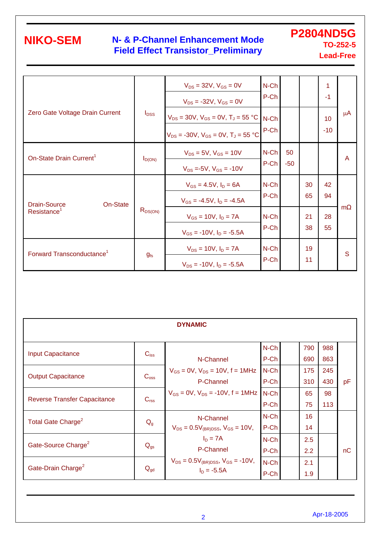### **N- & P-Channel Enhancement Mode Field Effect Transistor\_Preliminary**

**P2804ND5G TO-252-5 Lead-Free** 

|                                       | $I_{\text{DSS}}$ | $V_{DS} = 32V$ , $V_{GS} = 0V$<br>$V_{DS}$ = -32V, $V_{GS}$ = 0V                              | N-Ch<br>P-Ch    |             |          | 1<br>$-1$   |         |
|---------------------------------------|------------------|-----------------------------------------------------------------------------------------------|-----------------|-------------|----------|-------------|---------|
| Zero Gate Voltage Drain Current       |                  | $V_{DS}$ = 30V, $V_{GS}$ = 0V, $T_J$ = 55 °C<br>$V_{DS}$ = -30V, $V_{GS}$ = 0V, $T_J$ = 55 °C | $N$ -Ch<br>P-Ch |             |          | 10<br>$-10$ | $\mu$ A |
| On-State Drain Current <sup>1</sup>   | $I_{D(ON)}$      | $V_{DS} = 5V$ , $V_{GS} = 10V$<br>$V_{DS} = -5V$ , $V_{GS} = -10V$                            | N-Ch<br>P-Ch    | 50<br>$-50$ |          |             | A       |
| Drain-Source<br>On-State              |                  | $V_{GS} = 4.5V$ , $I_D = 6A$<br>$V_{GS} = -4.5V$ , $I_D = -4.5A$                              | N-Ch<br>P-Ch    |             | 30<br>65 | 42<br>94    |         |
| Resistance <sup>1</sup>               | $R_{DS(ON)}$     | $V_{GS} = 10V$ , $I_D = 7A$<br>$V_{GS}$ = -10V, $I_D$ = -5.5A                                 | N-Ch<br>P-Ch    |             | 21<br>38 | 28<br>55    | m       |
| Forward Transconductance <sup>1</sup> | $g_{fs}$         | $V_{DS} = 10V$ , $I_D = 7A$<br>$V_{DS}$ = -10V, $I_D$ = -5.5A                                 | N-Ch<br>P-Ch    |             | 19<br>11 |             | S       |

| <b>DYNAMIC</b>                      |                  |                                                                |                 |  |            |            |    |  |  |  |
|-------------------------------------|------------------|----------------------------------------------------------------|-----------------|--|------------|------------|----|--|--|--|
| <b>Input Capacitance</b>            | $C_{iss}$        | N-Channel                                                      | N-Ch<br>P-Ch    |  | 790<br>690 | 988<br>863 |    |  |  |  |
| <b>Output Capacitance</b>           | C <sub>oss</sub> | $V_{GS} = 0V$ , $V_{DS} = 10V$ , $f = 1MHz$<br>P-Channel       | $N$ -Ch<br>P-Ch |  | 175<br>310 | 245<br>430 | pF |  |  |  |
| <b>Reverse Transfer Capacitance</b> | C <sub>rss</sub> | $V_{GS} = 0V$ , $V_{DS} = -10V$ , $f = 1MHz$                   | N-Ch<br>P-Ch    |  | 65<br>75   | 98<br>113  |    |  |  |  |
| Total Gate Charge <sup>2</sup>      | $Q_{g}$          | N-Channel<br>$V_{DS} = 0.5V_{(BR)DSS}$ , $V_{GS} = 10V$ ,      | $N$ -Ch<br>P-Ch |  | 16<br>14   |            |    |  |  |  |
| Gate-Source Charge <sup>2</sup>     | $Q_{gs}$         | $I_D = 7A$<br>P-Channel                                        | N-Ch<br>P-Ch    |  | 2.5<br>2.2 |            | nC |  |  |  |
| Gate-Drain Charge <sup>2</sup>      | $Q_{gd}$         | $V_{DS} = 0.5V_{(BR)DSS}$ , $V_{GS} = -10V$ ,<br>$I_D = -5.5A$ | $N$ -Ch<br>P-Ch |  | 2.1<br>1.9 |            |    |  |  |  |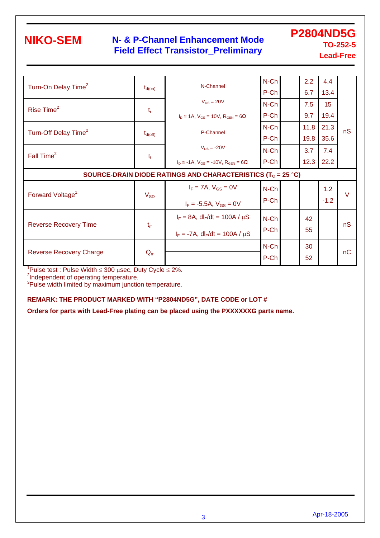### **N- & P-Channel Enhancement Mode Field Effect Transistor\_Preliminary**

**P2804ND5G TO-252-5 Lead-Free** 

| Turn-On Delay Time <sup>2</sup>                                         | $t_{d(on)}$  | N-Channel                                           | $N$ -Ch<br>P-Ch |  | 2.2<br>6.7 | 4.4<br>13.4 |        |  |  |  |
|-------------------------------------------------------------------------|--------------|-----------------------------------------------------|-----------------|--|------------|-------------|--------|--|--|--|
|                                                                         |              | $V_{DS} = 20V$                                      | $N$ -Ch         |  | 7.5        | 15          |        |  |  |  |
| Rise Time <sup>2</sup>                                                  | $t_{r}$      | $I_D \approx 1A$ , $V_{GS} = 10V$ , $R_{GEN} = 6$   | P-Ch            |  | 9.7        | 19.4        |        |  |  |  |
| Turn-Off Delay Time <sup>2</sup>                                        | $t_{d(off)}$ | P-Channel                                           | N-Ch            |  | 11.8       | 21.3        | nS     |  |  |  |
|                                                                         |              |                                                     | P-Ch            |  | 19.8       | 35.6        |        |  |  |  |
| Fall Time <sup>2</sup>                                                  |              | $V_{DS}$ = -20V                                     | N-Ch            |  | 3.7        | 7.4         |        |  |  |  |
|                                                                         | $t_{\rm f}$  | $I_D \approx -1A$ , $V_{GS} = -10V$ , $R_{GEN} = 6$ | P-Ch            |  | 12.3       | 22.2        |        |  |  |  |
| SOURCE-DRAIN DIODE RATINGS AND CHARACTERISTICS (T <sub>C</sub> = 25 °C) |              |                                                     |                 |  |            |             |        |  |  |  |
|                                                                         |              |                                                     |                 |  |            |             |        |  |  |  |
|                                                                         |              | $I_F = 7A$ , $V_{GS} = 0V$                          | $N$ -Ch         |  |            | 1.2         |        |  |  |  |
| Forward Voltage <sup>1</sup>                                            | $V_{SD}$     | $I_F = -5.5A$ , $V_{GS} = 0V$                       | P-Ch            |  |            | $-1.2$      | $\vee$ |  |  |  |
|                                                                         |              | $I_F = 8A$ , dl <sub>F</sub> /dt = 100A / $\mu$ S   | N-Ch            |  | 42         |             |        |  |  |  |
| <b>Reverse Recovery Time</b>                                            | $t_{rr}$     | $I_F = -7A$ , dl <sub>F</sub> /dt = 100A / $\mu$ S  | P-Ch            |  | 55         |             | nS     |  |  |  |
| <b>Reverse Recovery Charge</b>                                          | $Q_{rr}$     |                                                     | N-Ch            |  | 30         |             | nC     |  |  |  |

 $1$ Pulse test : Pulse Width  $\leq 300$  usec, Duty Cycle  $\leq 2\%$ .

<sup>2</sup>Independent of operating temperature.

<sup>3</sup>Pulse width limited by maximum junction temperature.

#### **REMARK: THE PRODUCT MARKED WITH "P2804ND5G", DATE CODE or LOT #**

**Orders for parts with Lead-Free plating can be placed using the PXXXXXXG parts name.**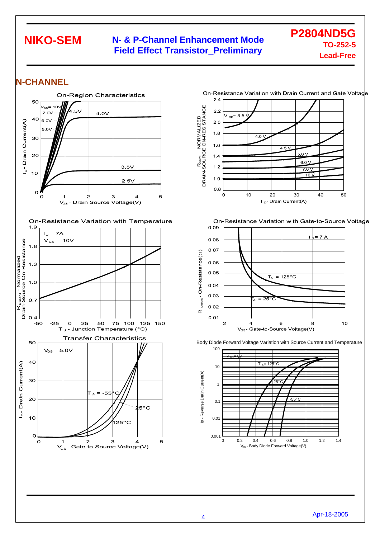#### **N- & P-Channel Enhancement Mode Field Effect Transistor\_Preliminary**

**P2804ND5G TO-252-5 Lead-Free** 

50

 $10$ 

#### **N-CHANNEL**



1.4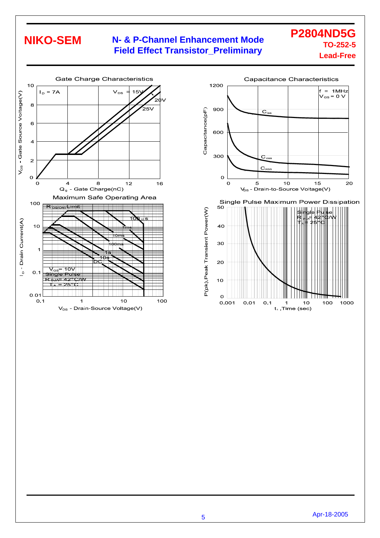### **N- & P-Channel Enhancement Mode Field Effect Transistor\_Preliminary**





5 Apr-18-2005

**P2804ND5G TO-252-5 Lead-Free**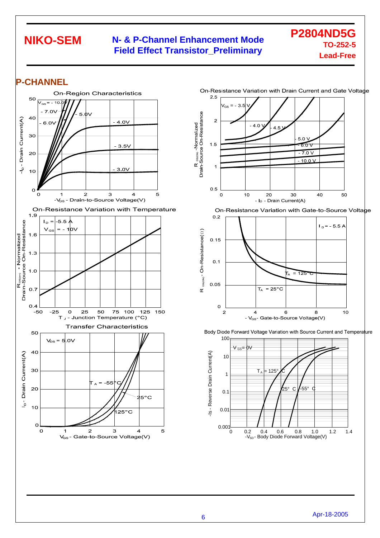#### **N- & P-Channel Enhancement Mode Field Effect Transistor\_Preliminary**

**P2804ND5G TO-252-5 Lead-Free** 

#### **P-CHANNEL**





 $25^{\circ}$  C

 $6\phantom{a}$ 

- V<sub>GS</sub>- Gate-to-Source Voltage(V)

Body Diode Forward Voltage Variation with Source Current and Temperature

-55° C

125

8

-V<sub>sp</sub>- Body Diode Forward Voltage(V)

0.2 0.6 0.8 1.2 1.0

0.4

 $\mathsf{T}_{\mathsf{A}}$  = 125° $\bigwedge$ 

 $T_A = 25^{\circ}$ C



1.4

 $10$ 

-Is - Reverse Drain Current(A)

Is - Reverse Drain Current(A)

0.001  $\overline{0}$ 

0.01

0.1

1

10

100

 $0.1$ 

0.05

 $\mathbf{o}$ 

 $\overline{2}$ 

 $\alpha$ 

 $\vee_{\mathsf{GS}} = \mathsf{DV}$ 

 $\overline{4}$ 

GS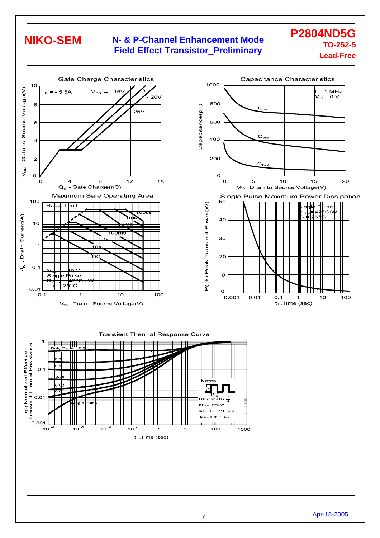0.001

 $10$ 

 $10$  $-3$   $10$ -2  $10$ 

#### **N- & P-Channel Enhancement Mode Field Effect Transistor\_Preliminary**

#### **P2804ND5G TO-252-5 Lead-Free**



**LILLI** 

 $10$ 

 $\overline{1}$  $t_1$ , Time (sec) 100

<u>. . . . . . .</u>

1000